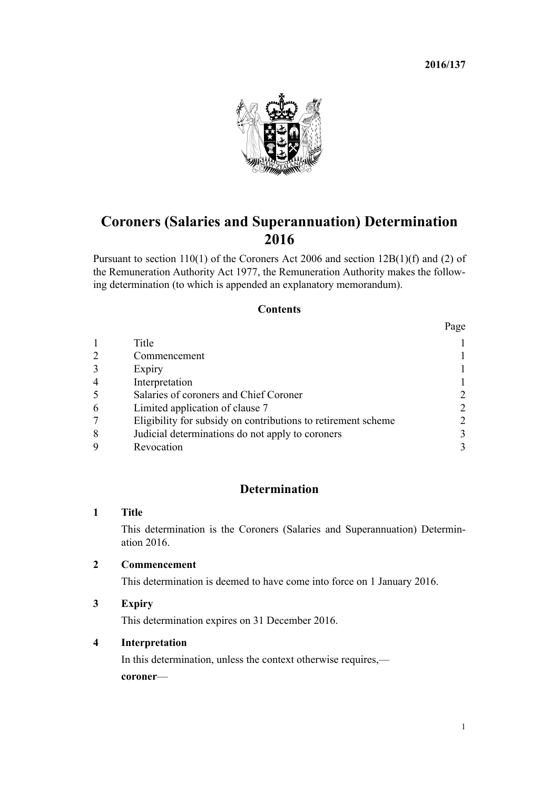**2016/137**



# **Coroners (Salaries and Superannuation) Determination 2016**

Pursuant to [section 110\(1\)](http://prd-lgnz-nlb.prd.pco.net.nz/pdflink.aspx?id=DLM377862) of the Coroners Act 2006 and [section 12B\(1\)\(f\) and \(2\)](http://prd-lgnz-nlb.prd.pco.net.nz/pdflink.aspx?id=DLM16119) of the Remuneration Authority Act 1977, the Remuneration Authority makes the following determination (to which is appended an [explanatory memorandum](#page-2-0)).

#### **Contents**

|                |                                                               | Page                        |
|----------------|---------------------------------------------------------------|-----------------------------|
|                | Title                                                         |                             |
| $\overline{2}$ | Commencement                                                  |                             |
| $\overline{3}$ | Expiry                                                        |                             |
| $\overline{4}$ | Interpretation                                                |                             |
| 5              | Salaries of coroners and Chief Coroner                        | 2                           |
| 6              | Limited application of clause 7                               | $\mathcal{D}_{\mathcal{L}}$ |
|                | Eligibility for subsidy on contributions to retirement scheme | $\mathcal{L}$               |
| 8              | Judicial determinations do not apply to coroners              | 3                           |
| 9              | Revocation                                                    |                             |

# **Determination**

#### **1 Title**

This determination is the Coroners (Salaries and Superannuation) Determination 2016.

#### **2 Commencement**

This determination is deemed to have come into force on 1 January 2016.

## **3 Expiry**

This determination expires on 31 December 2016.

### **4 Interpretation**

In this determination, unless the context otherwise requires, **coroner**—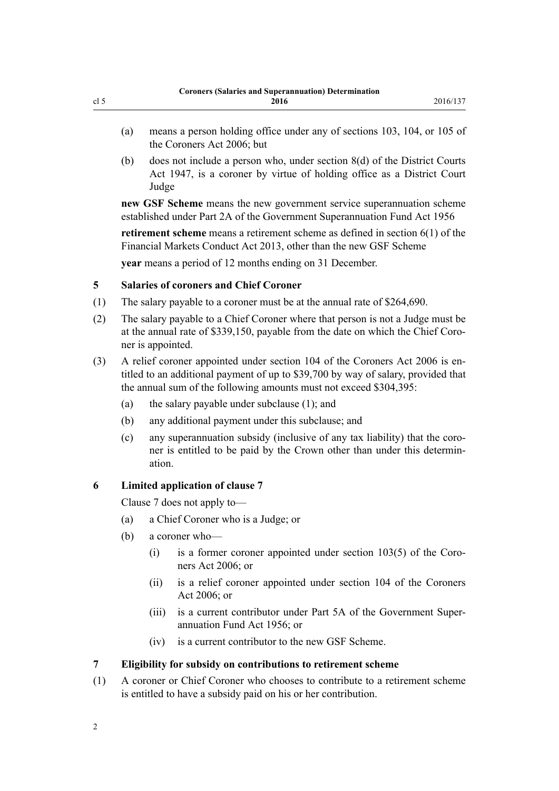- <span id="page-1-0"></span>(a) means a person holding office under any of [sections 103](http://prd-lgnz-nlb.prd.pco.net.nz/pdflink.aspx?id=DLM377850), [104,](http://prd-lgnz-nlb.prd.pco.net.nz/pdflink.aspx?id=DLM377853) or [105](http://prd-lgnz-nlb.prd.pco.net.nz/pdflink.aspx?id=DLM377856) of the Coroners Act 2006; but
- (b) does not include a person who, under [section 8\(d\)](http://prd-lgnz-nlb.prd.pco.net.nz/pdflink.aspx?id=DLM242975) of the District Courts Act 1947, is a coroner by virtue of holding office as a District Court Judge

**new GSF Scheme** means the new government service superannuation scheme established under [Part 2A](http://prd-lgnz-nlb.prd.pco.net.nz/pdflink.aspx?id=DLM446842) of the Government Superannuation Fund Act 1956

**retirement scheme** means a retirement scheme as defined in [section 6\(1\)](http://prd-lgnz-nlb.prd.pco.net.nz/pdflink.aspx?id=DLM4090590) of the Financial Markets Conduct Act 2013, other than the new GSF Scheme **year** means a period of 12 months ending on 31 December.

**5 Salaries of coroners and Chief Coroner**

- (1) The salary payable to a coroner must be at the annual rate of \$264,690.
- (2) The salary payable to a Chief Coroner where that person is not a Judge must be at the annual rate of \$339,150, payable from the date on which the Chief Coroner is appointed.
- (3) A relief coroner appointed under [section 104](http://prd-lgnz-nlb.prd.pco.net.nz/pdflink.aspx?id=DLM377853) of the Coroners Act 2006 is entitled to an additional payment of up to \$39,700 by way of salary, provided that the annual sum of the following amounts must not exceed \$304,395:
	- (a) the salary payable under subclause (1); and
	- (b) any additional payment under this subclause; and
	- (c) any superannuation subsidy (inclusive of any tax liability) that the coroner is entitled to be paid by the Crown other than under this determination.

#### **6 Limited application of clause 7**

Clause 7 does not apply to—

- (a) a Chief Coroner who is a Judge; or
- (b) a coroner who—
	- (i) is a former coroner appointed under [section 103\(5\)](http://prd-lgnz-nlb.prd.pco.net.nz/pdflink.aspx?id=DLM377850) of the Coroners Act 2006; or
	- (ii) is a relief coroner appointed under [section 104](http://prd-lgnz-nlb.prd.pco.net.nz/pdflink.aspx?id=DLM377853) of the Coroners Act 2006; or
	- (iii) is a current contributor under [Part 5A](http://prd-lgnz-nlb.prd.pco.net.nz/pdflink.aspx?id=DLM447398) of the Government Superannuation Fund Act 1956; or
	- (iv) is a current contributor to the new GSF Scheme.

#### **7 Eligibility for subsidy on contributions to retirement scheme**

(1) A coroner or Chief Coroner who chooses to contribute to a retirement scheme is entitled to have a subsidy paid on his or her contribution.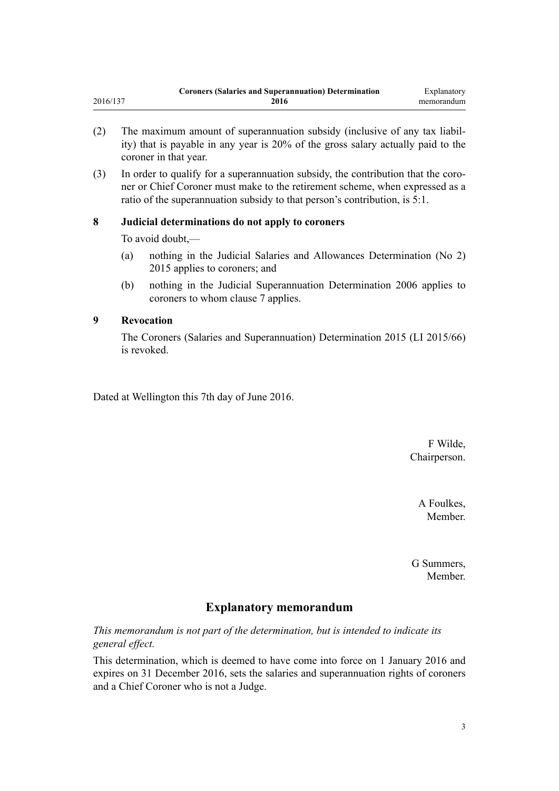- <span id="page-2-0"></span>(2) The maximum amount of superannuation subsidy (inclusive of any tax liability) that is payable in any year is 20% of the gross salary actually paid to the coroner in that year.
- (3) In order to qualify for a superannuation subsidy, the contribution that the coroner or Chief Coroner must make to the retirement scheme, when expressed as a ratio of the superannuation subsidy to that person's contribution, is 5:1.

#### **8 Judicial determinations do not apply to coroners**

To avoid doubt,—

- (a) nothing in the [Judicial Salaries and Allowances Determination \(No 2\)](http://prd-lgnz-nlb.prd.pco.net.nz/pdflink.aspx?id=DLM6689000) [2015](http://prd-lgnz-nlb.prd.pco.net.nz/pdflink.aspx?id=DLM6689000) applies to coroners; and
- (b) nothing in the [Judicial Superannuation Determination 2006](http://prd-lgnz-nlb.prd.pco.net.nz/pdflink.aspx?id=DLM369327) applies to coroners to whom [clause 7](#page-1-0) applies.

#### **9 Revocation**

The [Coroners \(Salaries and Superannuation\) Determination 2015](http://prd-lgnz-nlb.prd.pco.net.nz/pdflink.aspx?id=DLM6418319) (LI 2015/66) is revoked.

Dated at Wellington this 7th day of June 2016.

F Wilde, Chairperson.

> A Foulkes, Member.

G Summers, Member.

## **Explanatory memorandum**

*This memorandum is not part of the determination, but is intended to indicate its general effect.*

This determination, which is deemed to have come into force on 1 January 2016 and expires on 31 December 2016, sets the salaries and superannuation rights of coroners and a Chief Coroner who is not a Judge.